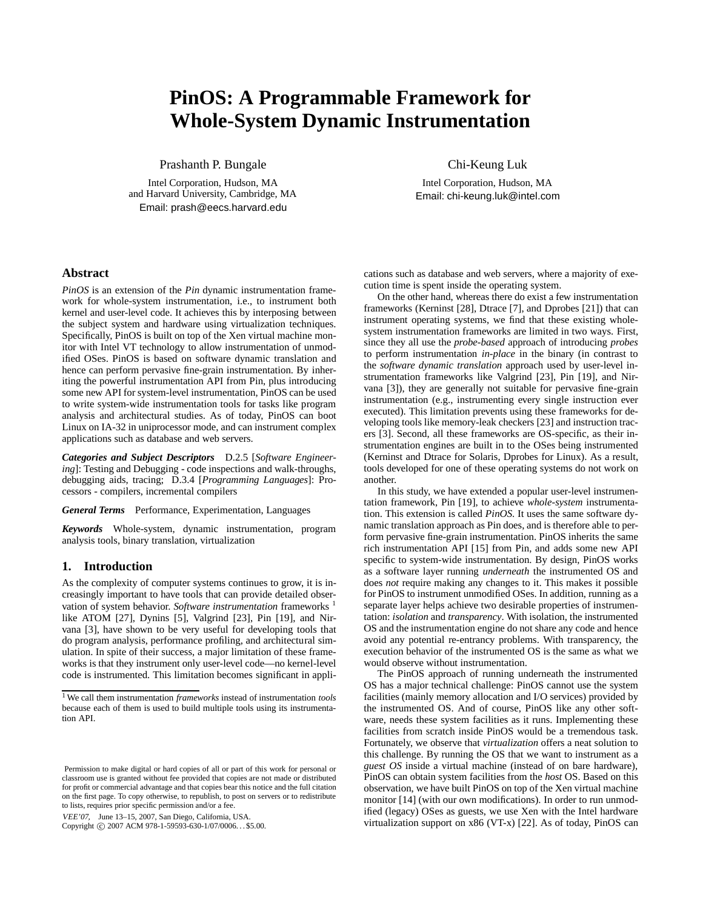# **PinOS: A Programmable Framework for Whole-System Dynamic Instrumentation**

Prashanth P. Bungale

Intel Corporation, Hudson, MA and Harvard University, Cambridge, MA Email: prash@eecs.harvard.edu

Chi-Keung Luk

Intel Corporation, Hudson, MA Email: chi-keung.luk@intel.com

# **Abstract**

*PinOS* is an extension of the *Pin* dynamic instrumentation framework for whole-system instrumentation, i.e., to instrument both kernel and user-level code. It achieves this by interposing between the subject system and hardware using virtualization techniques. Specifically, PinOS is built on top of the Xen virtual machine monitor with Intel VT technology to allow instrumentation of unmodified OSes. PinOS is based on software dynamic translation and hence can perform pervasive fine-grain instrumentation. By inheriting the powerful instrumentation API from Pin, plus introducing some new API for system-level instrumentation, PinOS can be used to write system-wide instrumentation tools for tasks like program analysis and architectural studies. As of today, PinOS can boot Linux on IA-32 in uniprocessor mode, and can instrument complex applications such as database and web servers.

*Categories and Subject Descriptors* D.2.5 [*Software Engineering*]: Testing and Debugging - code inspections and walk-throughs, debugging aids, tracing; D.3.4 [*Programming Languages*]: Processors - compilers, incremental compilers

*General Terms* Performance, Experimentation, Languages

*Keywords* Whole-system, dynamic instrumentation, program analysis tools, binary translation, virtualization

## **1. Introduction**

As the complexity of computer systems continues to grow, it is increasingly important to have tools that can provide detailed observation of system behavior. *Software instrumentation* frameworks<sup>1</sup> like ATOM [27], Dynins [5], Valgrind [23], Pin [19], and Nirvana [3], have shown to be very useful for developing tools that do program analysis, performance profiling, and architectural simulation. In spite of their success, a major limitation of these frameworks is that they instrument only user-level code—no kernel-level code is instrumented. This limitation becomes significant in appli-

VEE'07, June 13–15, 2007, San Diego, California, USA.

Copyright © 2007 ACM 978-1-59593-630-1/07/0006... \$5.00.

cations such as database and web servers, where a majority of execution time is spent inside the operating system.

On the other hand, whereas there do exist a few instrumentation frameworks (Kerninst [28], Dtrace [7], and Dprobes [21]) that can instrument operating systems, we find that these existing wholesystem instrumentation frameworks are limited in two ways. First, since they all use the *probe-based* approach of introducing *probes* to perform instrumentation *in-place* in the binary (in contrast to the *software dynamic translation* approach used by user-level instrumentation frameworks like Valgrind [23], Pin [19], and Nirvana [3]), they are generally not suitable for pervasive fine-grain instrumentation (e.g., instrumenting every single instruction ever executed). This limitation prevents using these frameworks for developing tools like memory-leak checkers [23] and instruction tracers [3]. Second, all these frameworks are OS-specific, as their instrumentation engines are built in to the OSes being instrumented (Kerninst and Dtrace for Solaris, Dprobes for Linux). As a result, tools developed for one of these operating systems do not work on another.

In this study, we have extended a popular user-level instrumentation framework, Pin [19], to achieve *whole-system* instrumentation. This extension is called *PinOS*. It uses the same software dynamic translation approach as Pin does, and is therefore able to perform pervasive fine-grain instrumentation. PinOS inherits the same rich instrumentation API [15] from Pin, and adds some new API specific to system-wide instrumentation. By design, PinOS works as a software layer running *underneath* the instrumented OS and does *not* require making any changes to it. This makes it possible for PinOS to instrument unmodified OSes. In addition, running as a separate layer helps achieve two desirable properties of instrumentation: *isolation* and *transparency*. With isolation, the instrumented OS and the instrumentation engine do not share any code and hence avoid any potential re-entrancy problems. With transparency, the execution behavior of the instrumented OS is the same as what we would observe without instrumentation.

The PinOS approach of running underneath the instrumented OS has a major technical challenge: PinOS cannot use the system facilities (mainly memory allocation and I/O services) provided by the instrumented OS. And of course, PinOS like any other software, needs these system facilities as it runs. Implementing these facilities from scratch inside PinOS would be a tremendous task. Fortunately, we observe that *virtualization* offers a neat solution to this challenge. By running the OS that we want to instrument as a *guest OS* inside a virtual machine (instead of on bare hardware), PinOS can obtain system facilities from the *host* OS. Based on this observation, we have built PinOS on top of the Xen virtual machine monitor [14] (with our own modifications). In order to run unmodified (legacy) OSes as guests, we use Xen with the Intel hardware virtualization support on x86 (VT-x) [22]. As of today, PinOS can

<sup>1</sup> We call them instrumentation *frameworks* instead of instrumentation *tools* because each of them is used to build multiple tools using its instrumentation API.

Permission to make digital or hard copies of all or part of this work for personal or classroom use is granted without fee provided that copies are not made or distributed for profit or commercial advantage and that copies bear this notice and the full citation on the first page. To copy otherwise, to republish, to post on servers or to redistribute to lists, requires prior specific permission and/or a fee.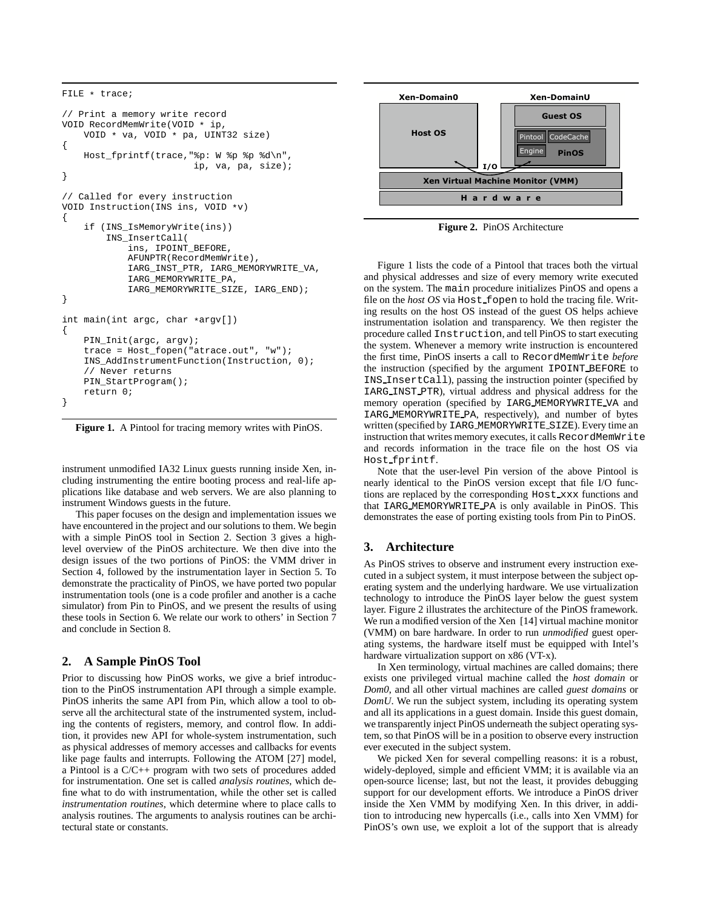```
FILE * trace;
// Print a memory write record
VOID RecordMemWrite(VOID * ip,
    VOID * va, VOID * pa, UINT32 size)
{
    Host_fprintf(trace,"%p: W %p %p %d\n",
                        ip, va, pa, size);
}
// Called for every instruction
VOID Instruction(INS ins, VOID *v)
{
    if (INS_IsMemoryWrite(ins))
        INS_InsertCall(
            ins, IPOINT_BEFORE,
            AFUNPTR(RecordMemWrite),
            IARG_INST_PTR, IARG_MEMORYWRITE_VA,
            IARG_MEMORYWRITE_PA,
            IARG_MEMORYWRITE_SIZE, IARG_END);
}
int main(int argc, char *argv[])
{
    PIN_Init(argc, argv);
    trace = Host_fopen("atrace.out", "w");
    INS_AddInstrumentFunction(Instruction, 0);
    // Never returns
    PIN_StartProgram();
    return 0;
}
```
**Figure 1.** A Pintool for tracing memory writes with PinOS.

instrument unmodified IA32 Linux guests running inside Xen, including instrumenting the entire booting process and real-life applications like database and web servers. We are also planning to instrument Windows guests in the future.

This paper focuses on the design and implementation issues we have encountered in the project and our solutions to them. We begin with a simple PinOS tool in Section 2. Section 3 gives a highlevel overview of the PinOS architecture. We then dive into the design issues of the two portions of PinOS: the VMM driver in Section 4, followed by the instrumentation layer in Section 5. To demonstrate the practicality of PinOS, we have ported two popular instrumentation tools (one is a code profiler and another is a cache simulator) from Pin to PinOS, and we present the results of using these tools in Section 6. We relate our work to others' in Section 7 and conclude in Section 8.

# **2. A Sample PinOS Tool**

Prior to discussing how PinOS works, we give a brief introduction to the PinOS instrumentation API through a simple example. PinOS inherits the same API from Pin, which allow a tool to observe all the architectural state of the instrumented system, including the contents of registers, memory, and control flow. In addition, it provides new API for whole-system instrumentation, such as physical addresses of memory accesses and callbacks for events like page faults and interrupts. Following the ATOM [27] model, a Pintool is a C/C++ program with two sets of procedures added for instrumentation. One set is called *analysis routines*, which define what to do with instrumentation, while the other set is called *instrumentation routines*, which determine where to place calls to analysis routines. The arguments to analysis routines can be architectural state or constants.



**Figure 2.** PinOS Architecture

Figure 1 lists the code of a Pintool that traces both the virtual and physical addresses and size of every memory write executed on the system. The main procedure initializes PinOS and opens a file on the *host OS* via Host fopen to hold the tracing file. Writing results on the host OS instead of the guest OS helps achieve instrumentation isolation and transparency. We then register the procedure called Instruction, and tell PinOS to start executing the system. Whenever a memory write instruction is encountered the first time, PinOS inserts a call to RecordMemWrite *before* the instruction (specified by the argument IPOINT BEFORE to INS InsertCall), passing the instruction pointer (specified by IARG INST PTR), virtual address and physical address for the memory operation (specified by IARG MEMORYWRITE VA and IARG MEMORYWRITE PA, respectively), and number of bytes written (specified by IARG MEMORYWRITE SIZE). Every time an instruction that writes memory executes, it calls RecordMemWrite and records information in the trace file on the host OS via Host fprintf.

Note that the user-level Pin version of the above Pintool is nearly identical to the PinOS version except that file I/O functions are replaced by the corresponding Host xxx functions and that IARG MEMORYWRITE PA is only available in PinOS. This demonstrates the ease of porting existing tools from Pin to PinOS.

## **3. Architecture**

As PinOS strives to observe and instrument every instruction executed in a subject system, it must interpose between the subject operating system and the underlying hardware. We use virtualization technology to introduce the PinOS layer below the guest system layer. Figure 2 illustrates the architecture of the PinOS framework. We run a modified version of the Xen [14] virtual machine monitor (VMM) on bare hardware. In order to run *unmodified* guest operating systems, the hardware itself must be equipped with Intel's hardware virtualization support on x86 (VT-x).

In Xen terminology, virtual machines are called domains; there exists one privileged virtual machine called the *host domain* or *Dom0*, and all other virtual machines are called *guest domains* or *DomU*. We run the subject system, including its operating system and all its applications in a guest domain. Inside this guest domain, we transparently inject PinOS underneath the subject operating system, so that PinOS will be in a position to observe every instruction ever executed in the subject system.

We picked Xen for several compelling reasons: it is a robust, widely-deployed, simple and efficient VMM; it is available via an open-source license; last, but not the least, it provides debugging support for our development efforts. We introduce a PinOS driver inside the Xen VMM by modifying Xen. In this driver, in addition to introducing new hypercalls (i.e., calls into Xen VMM) for PinOS's own use, we exploit a lot of the support that is already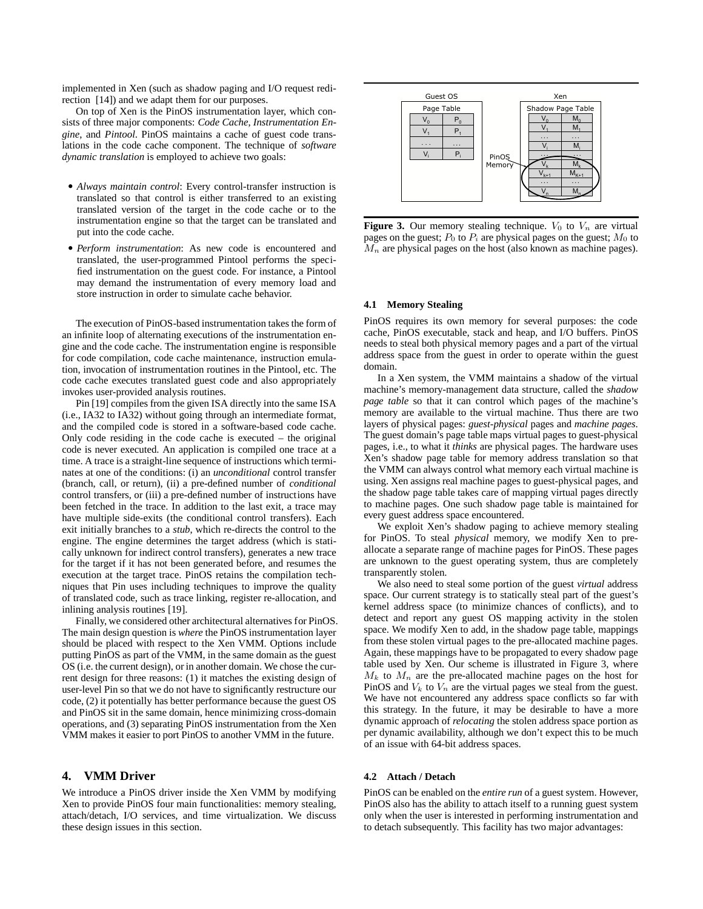implemented in Xen (such as shadow paging and I/O request redirection [14]) and we adapt them for our purposes.

On top of Xen is the PinOS instrumentation layer, which consists of three major components: *Code Cache*, *Instrumentation Engine*, and *Pintool*. PinOS maintains a cache of guest code translations in the code cache component. The technique of *software dynamic translation* is employed to achieve two goals:

- *Always maintain control*: Every control-transfer instruction is translated so that control is either transferred to an existing translated version of the target in the code cache or to the instrumentation engine so that the target can be translated and put into the code cache.
- *Perform instrumentation*: As new code is encountered and translated, the user-programmed Pintool performs the specified instrumentation on the guest code. For instance, a Pintool may demand the instrumentation of every memory load and store instruction in order to simulate cache behavior.

The execution of PinOS-based instrumentation takes the form of an infinite loop of alternating executions of the instrumentation engine and the code cache. The instrumentation engine is responsible for code compilation, code cache maintenance, instruction emulation, invocation of instrumentation routines in the Pintool, etc. The code cache executes translated guest code and also appropriately invokes user-provided analysis routines.

Pin [19] compiles from the given ISA directly into the same ISA (i.e., IA32 to IA32) without going through an intermediate format, and the compiled code is stored in a software-based code cache. Only code residing in the code cache is executed – the original code is never executed. An application is compiled one trace at a time. A trace is a straight-line sequence of instructions which terminates at one of the conditions: (i) an *unconditional* control transfer (branch, call, or return), (ii) a pre-defined number of *conditional* control transfers, or (iii) a pre-defined number of instructions have been fetched in the trace. In addition to the last exit, a trace may have multiple side-exits (the conditional control transfers). Each exit initially branches to a *stub*, which re-directs the control to the engine. The engine determines the target address (which is statically unknown for indirect control transfers), generates a new trace for the target if it has not been generated before, and resumes the execution at the target trace. PinOS retains the compilation techniques that Pin uses including techniques to improve the quality of translated code, such as trace linking, register re-allocation, and inlining analysis routines [19].

Finally, we considered other architectural alternatives for PinOS. The main design question is *where* the PinOS instrumentation layer should be placed with respect to the Xen VMM. Options include putting PinOS as part of the VMM, in the same domain as the guest OS (i.e. the current design), or in another domain. We chose the current design for three reasons: (1) it matches the existing design of user-level Pin so that we do not have to significantly restructure our code, (2) it potentially has better performance because the guest OS and PinOS sit in the same domain, hence minimizing cross-domain operations, and (3) separating PinOS instrumentation from the Xen VMM makes it easier to port PinOS to another VMM in the future.

# **4. VMM Driver**

We introduce a PinOS driver inside the Xen VMM by modifying Xen to provide PinOS four main functionalities: memory stealing, attach/detach, I/O services, and time virtualization. We discuss these design issues in this section.



**Figure 3.** Our memory stealing technique.  $V_0$  to  $V_n$  are virtual pages on the guest;  $P_0$  to  $P_i$  are physical pages on the guest;  $M_0$  to  $M_n$  are physical pages on the host (also known as machine pages).

#### **4.1 Memory Stealing**

PinOS requires its own memory for several purposes: the code cache, PinOS executable, stack and heap, and I/O buffers. PinOS needs to steal both physical memory pages and a part of the virtual address space from the guest in order to operate within the guest domain.

In a Xen system, the VMM maintains a shadow of the virtual machine's memory-management data structure, called the *shadow page table* so that it can control which pages of the machine's memory are available to the virtual machine. Thus there are two layers of physical pages: *guest-physical* pages and *machine pages*. The guest domain's page table maps virtual pages to guest-physical pages, i.e., to what it *thinks* are physical pages. The hardware uses Xen's shadow page table for memory address translation so that the VMM can always control what memory each virtual machine is using. Xen assigns real machine pages to guest-physical pages, and the shadow page table takes care of mapping virtual pages directly to machine pages. One such shadow page table is maintained for every guest address space encountered.

We exploit Xen's shadow paging to achieve memory stealing for PinOS. To steal *physical* memory, we modify Xen to preallocate a separate range of machine pages for PinOS. These pages are unknown to the guest operating system, thus are completely transparently stolen.

We also need to steal some portion of the guest *virtual* address space. Our current strategy is to statically steal part of the guest's kernel address space (to minimize chances of conflicts), and to detect and report any guest OS mapping activity in the stolen space. We modify Xen to add, in the shadow page table, mappings from these stolen virtual pages to the pre-allocated machine pages. Again, these mappings have to be propagated to every shadow page table used by Xen. Our scheme is illustrated in Figure 3, where  $M_k$  to  $M_n$  are the pre-allocated machine pages on the host for PinOS and  $V_k$  to  $V_n$  are the virtual pages we steal from the guest. We have not encountered any address space conflicts so far with this strategy. In the future, it may be desirable to have a more dynamic approach of *relocating* the stolen address space portion as per dynamic availability, although we don't expect this to be much of an issue with 64-bit address spaces.

## **4.2 Attach / Detach**

PinOS can be enabled on the *entire run* of a guest system. However, PinOS also has the ability to attach itself to a running guest system only when the user is interested in performing instrumentation and to detach subsequently. This facility has two major advantages: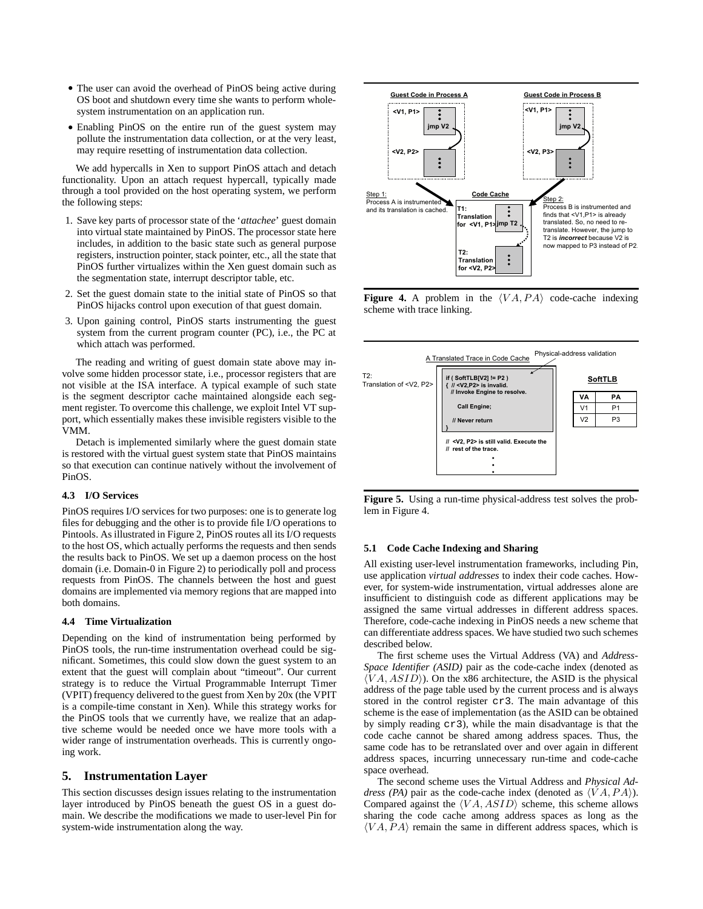- The user can avoid the overhead of PinOS being active during OS boot and shutdown every time she wants to perform wholesystem instrumentation on an application run.
- Enabling PinOS on the entire run of the guest system may pollute the instrumentation data collection, or at the very least, may require resetting of instrumentation data collection.

We add hypercalls in Xen to support PinOS attach and detach functionality. Upon an attach request hypercall, typically made through a tool provided on the host operating system, we perform the following steps:

- 1. Save key parts of processor state of the '*attachee*' guest domain into virtual state maintained by PinOS. The processor state here includes, in addition to the basic state such as general purpose registers, instruction pointer, stack pointer, etc., all the state that PinOS further virtualizes within the Xen guest domain such as the segmentation state, interrupt descriptor table, etc.
- 2. Set the guest domain state to the initial state of PinOS so that PinOS hijacks control upon execution of that guest domain.
- 3. Upon gaining control, PinOS starts instrumenting the guest system from the current program counter (PC), i.e., the PC at which attach was performed.

The reading and writing of guest domain state above may involve some hidden processor state, i.e., processor registers that are not visible at the ISA interface. A typical example of such state is the segment descriptor cache maintained alongside each segment register. To overcome this challenge, we exploit Intel VT support, which essentially makes these invisible registers visible to the VMM.

Detach is implemented similarly where the guest domain state is restored with the virtual guest system state that PinOS maintains so that execution can continue natively without the involvement of PinOS.

## **4.3 I/O Services**

PinOS requires I/O services for two purposes: one is to generate log files for debugging and the other is to provide file I/O operations to Pintools. As illustrated in Figure 2, PinOS routes all its I/O requests to the host OS, which actually performs the requests and then sends the results back to PinOS. We set up a daemon process on the host domain (i.e. Domain-0 in Figure 2) to periodically poll and process requests from PinOS. The channels between the host and guest domains are implemented via memory regions that are mapped into both domains.

#### **4.4 Time Virtualization**

Depending on the kind of instrumentation being performed by PinOS tools, the run-time instrumentation overhead could be significant. Sometimes, this could slow down the guest system to an extent that the guest will complain about "timeout". Our current strategy is to reduce the Virtual Programmable Interrupt Timer (VPIT) frequency delivered to the guest from Xen by 20x (the VPIT is a compile-time constant in Xen). While this strategy works for the PinOS tools that we currently have, we realize that an adaptive scheme would be needed once we have more tools with a wider range of instrumentation overheads. This is currently ongoing work.

## **5. Instrumentation Layer**

This section discusses design issues relating to the instrumentation layer introduced by PinOS beneath the guest OS in a guest domain. We describe the modifications we made to user-level Pin for system-wide instrumentation along the way.



**Figure 4.** A problem in the  $\langle VA, PA \rangle$  code-cache indexing scheme with trace linking.



**Figure 5.** Using a run-time physical-address test solves the problem in Figure 4.

#### **5.1 Code Cache Indexing and Sharing**

All existing user-level instrumentation frameworks, including Pin, use application *virtual addresses* to index their code caches. However, for system-wide instrumentation, virtual addresses alone are insufficient to distinguish code as different applications may be assigned the same virtual addresses in different address spaces. Therefore, code-cache indexing in PinOS needs a new scheme that can differentiate address spaces. We have studied two such schemes described below.

The first scheme uses the Virtual Address (VA) and *Address-Space Identifier (ASID)* pair as the code-cache index (denoted as  $\langle VA, ASID \rangle$ ). On the x86 architecture, the ASID is the physical address of the page table used by the current process and is always stored in the control register cr3. The main advantage of this scheme is the ease of implementation (as the ASID can be obtained by simply reading cr3), while the main disadvantage is that the code cache cannot be shared among address spaces. Thus, the same code has to be retranslated over and over again in different address spaces, incurring unnecessary run-time and code-cache space overhead.

The second scheme uses the Virtual Address and *Physical Address (PA)* pair as the code-cache index (denoted as  $\langle VA, PA \rangle$ ). Compared against the  $\langle VA, ASID \rangle$  scheme, this scheme allows sharing the code cache among address spaces as long as the  $\langle VA, PA \rangle$  remain the same in different address spaces, which is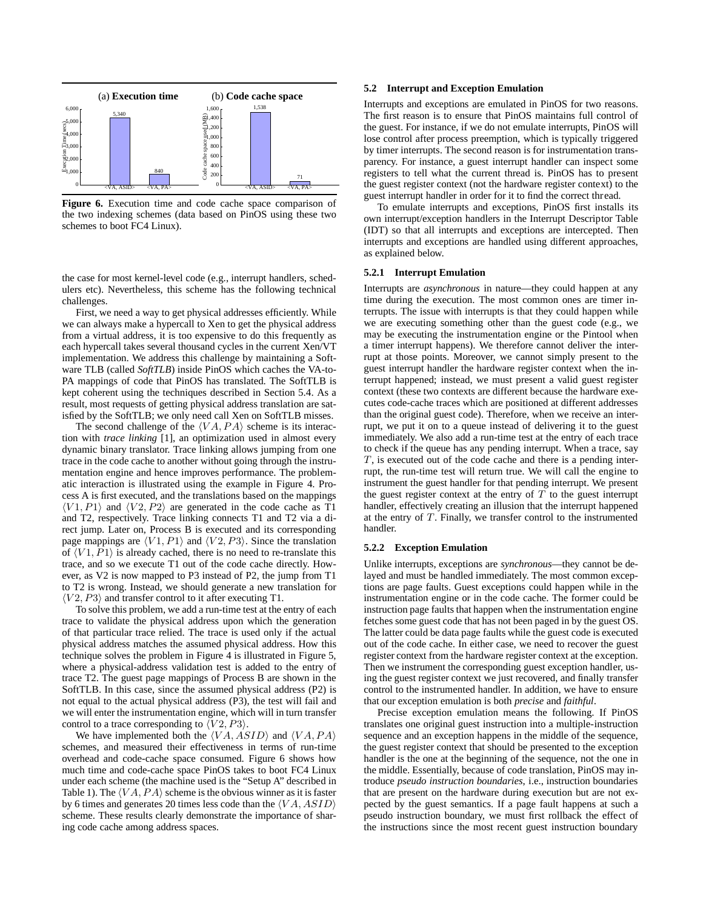

**Figure 6.** Execution time and code cache space comparison of the two indexing schemes (data based on PinOS using these two schemes to boot FC4 Linux).

the case for most kernel-level code (e.g., interrupt handlers, schedulers etc). Nevertheless, this scheme has the following technical challenges.

First, we need a way to get physical addresses efficiently. While we can always make a hypercall to Xen to get the physical address from a virtual address, it is too expensive to do this frequently as each hypercall takes several thousand cycles in the current Xen/VT implementation. We address this challenge by maintaining a Software TLB (called *SoftTLB*) inside PinOS which caches the VA-to-PA mappings of code that PinOS has translated. The SoftTLB is kept coherent using the techniques described in Section 5.4. As a result, most requests of getting physical address translation are satisfied by the SoftTLB; we only need call Xen on SoftTLB misses.

The second challenge of the  $\langle VA, PA \rangle$  scheme is its interaction with *trace linking* [1], an optimization used in almost every dynamic binary translator. Trace linking allows jumping from one trace in the code cache to another without going through the instrumentation engine and hence improves performance. The problematic interaction is illustrated using the example in Figure 4. Process A is first executed, and the translations based on the mappings  $\langle V1, P1 \rangle$  and  $\langle V2, P2 \rangle$  are generated in the code cache as T1 and T2, respectively. Trace linking connects T1 and T2 via a direct jump. Later on, Process B is executed and its corresponding page mappings are  $\langle V_1, P_1 \rangle$  and  $\langle V_2, P_3 \rangle$ . Since the translation of  $\langle V_1, P_1 \rangle$  is already cached, there is no need to re-translate this trace, and so we execute T1 out of the code cache directly. However, as V2 is now mapped to P3 instead of P2, the jump from T1 to T2 is wrong. Instead, we should generate a new translation for  $\langle V2, P3 \rangle$  and transfer control to it after executing T1.

To solve this problem, we add a run-time test at the entry of each trace to validate the physical address upon which the generation of that particular trace relied. The trace is used only if the actual physical address matches the assumed physical address. How this technique solves the problem in Figure 4 is illustrated in Figure 5, where a physical-address validation test is added to the entry of trace T2. The guest page mappings of Process B are shown in the SoftTLB. In this case, since the assumed physical address (P2) is not equal to the actual physical address (P3), the test will fail and we will enter the instrumentation engine, which will in turn transfer control to a trace corresponding to  $\langle V_2, P_3 \rangle$ .

We have implemented both the  $\langle VA, ASID \rangle$  and  $\langle VA, PA \rangle$ schemes, and measured their effectiveness in terms of run-time overhead and code-cache space consumed. Figure 6 shows how much time and code-cache space PinOS takes to boot FC4 Linux under each scheme (the machine used is the "Setup A" described in Table 1). The  $\langle VA, PA \rangle$  scheme is the obvious winner as it is faster by 6 times and generates 20 times less code than the  $\langle VA, ASID \rangle$ scheme. These results clearly demonstrate the importance of sharing code cache among address spaces.

## **5.2 Interrupt and Exception Emulation**

Interrupts and exceptions are emulated in PinOS for two reasons. The first reason is to ensure that PinOS maintains full control of the guest. For instance, if we do not emulate interrupts, PinOS will lose control after process preemption, which is typically triggered by timer interrupts. The second reason is for instrumentation transparency. For instance, a guest interrupt handler can inspect some registers to tell what the current thread is. PinOS has to present the guest register context (not the hardware register context) to the guest interrupt handler in order for it to find the correct thread.

To emulate interrupts and exceptions, PinOS first installs its own interrupt/exception handlers in the Interrupt Descriptor Table (IDT) so that all interrupts and exceptions are intercepted. Then interrupts and exceptions are handled using different approaches, as explained below.

#### **5.2.1 Interrupt Emulation**

Interrupts are *asynchronous* in nature—they could happen at any time during the execution. The most common ones are timer interrupts. The issue with interrupts is that they could happen while we are executing something other than the guest code (e.g., we may be executing the instrumentation engine or the Pintool when a timer interrupt happens). We therefore cannot deliver the interrupt at those points. Moreover, we cannot simply present to the guest interrupt handler the hardware register context when the interrupt happened; instead, we must present a valid guest register context (these two contexts are different because the hardware executes code-cache traces which are positioned at different addresses than the original guest code). Therefore, when we receive an interrupt, we put it on to a queue instead of delivering it to the guest immediately. We also add a run-time test at the entry of each trace to check if the queue has any pending interrupt. When a trace, say T, is executed out of the code cache and there is a pending interrupt, the run-time test will return true. We will call the engine to instrument the guest handler for that pending interrupt. We present the guest register context at the entry of  $T$  to the guest interrupt handler, effectively creating an illusion that the interrupt happened at the entry of T. Finally, we transfer control to the instrumented handler.

#### **5.2.2 Exception Emulation**

Unlike interrupts, exceptions are *synchronous*—they cannot be delayed and must be handled immediately. The most common exceptions are page faults. Guest exceptions could happen while in the instrumentation engine or in the code cache. The former could be instruction page faults that happen when the instrumentation engine fetches some guest code that has not been paged in by the guest OS. The latter could be data page faults while the guest code is executed out of the code cache. In either case, we need to recover the guest register context from the hardware register context at the exception. Then we instrument the corresponding guest exception handler, using the guest register context we just recovered, and finally transfer control to the instrumented handler. In addition, we have to ensure that our exception emulation is both *precise* and *faithful*.

Precise exception emulation means the following. If PinOS translates one original guest instruction into a multiple-instruction sequence and an exception happens in the middle of the sequence, the guest register context that should be presented to the exception handler is the one at the beginning of the sequence, not the one in the middle. Essentially, because of code translation, PinOS may introduce *pseudo instruction boundaries*, i.e., instruction boundaries that are present on the hardware during execution but are not expected by the guest semantics. If a page fault happens at such a pseudo instruction boundary, we must first rollback the effect of the instructions since the most recent guest instruction boundary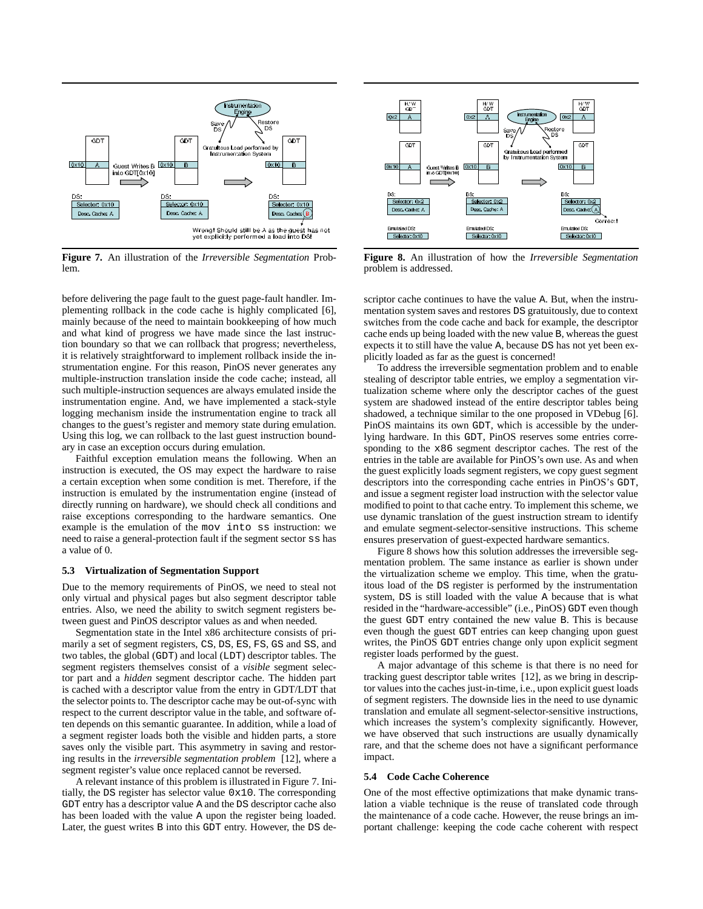

**Figure 7.** An illustration of the *Irreversible Segmentation* Problem.

before delivering the page fault to the guest page-fault handler. Implementing rollback in the code cache is highly complicated [6], mainly because of the need to maintain bookkeeping of how much and what kind of progress we have made since the last instruction boundary so that we can rollback that progress; nevertheless, it is relatively straightforward to implement rollback inside the instrumentation engine. For this reason, PinOS never generates any multiple-instruction translation inside the code cache; instead, all such multiple-instruction sequences are always emulated inside the instrumentation engine. And, we have implemented a stack-style logging mechanism inside the instrumentation engine to track all changes to the guest's register and memory state during emulation. Using this log, we can rollback to the last guest instruction boundary in case an exception occurs during emulation.

Faithful exception emulation means the following. When an instruction is executed, the OS may expect the hardware to raise a certain exception when some condition is met. Therefore, if the instruction is emulated by the instrumentation engine (instead of directly running on hardware), we should check all conditions and raise exceptions corresponding to the hardware semantics. One example is the emulation of the mov into ss instruction: we need to raise a general-protection fault if the segment sector ss has a value of 0.

#### **5.3 Virtualization of Segmentation Support**

Due to the memory requirements of PinOS, we need to steal not only virtual and physical pages but also segment descriptor table entries. Also, we need the ability to switch segment registers between guest and PinOS descriptor values as and when needed.

Segmentation state in the Intel x86 architecture consists of primarily a set of segment registers, CS, DS, ES, FS, GS and SS, and two tables, the global (GDT) and local (LDT) descriptor tables. The segment registers themselves consist of a *visible* segment selector part and a *hidden* segment descriptor cache. The hidden part is cached with a descriptor value from the entry in GDT/LDT that the selector points to. The descriptor cache may be out-of-sync with respect to the current descriptor value in the table, and software often depends on this semantic guarantee. In addition, while a load of a segment register loads both the visible and hidden parts, a store saves only the visible part. This asymmetry in saving and restoring results in the *irreversible segmentation problem* [12], where a segment register's value once replaced cannot be reversed.

A relevant instance of this problem is illustrated in Figure 7. Initially, the DS register has selector value 0x10. The corresponding GDT entry has a descriptor value A and the DS descriptor cache also has been loaded with the value A upon the register being loaded. Later, the guest writes B into this GDT entry. However, the DS de-



**Figure 8.** An illustration of how the *Irreversible Segmentation* problem is addressed.

scriptor cache continues to have the value A. But, when the instrumentation system saves and restores DS gratuitously, due to context switches from the code cache and back for example, the descriptor cache ends up being loaded with the new value B, whereas the guest expects it to still have the value A, because DS has not yet been explicitly loaded as far as the guest is concerned!

To address the irreversible segmentation problem and to enable stealing of descriptor table entries, we employ a segmentation virtualization scheme where only the descriptor caches of the guest system are shadowed instead of the entire descriptor tables being shadowed, a technique similar to the one proposed in VDebug [6]. PinOS maintains its own GDT, which is accessible by the underlying hardware. In this GDT, PinOS reserves some entries corresponding to the x86 segment descriptor caches. The rest of the entries in the table are available for PinOS's own use. As and when the guest explicitly loads segment registers, we copy guest segment descriptors into the corresponding cache entries in PinOS's GDT, and issue a segment register load instruction with the selector value modified to point to that cache entry. To implement this scheme, we use dynamic translation of the guest instruction stream to identify and emulate segment-selector-sensitive instructions. This scheme ensures preservation of guest-expected hardware semantics.

Figure 8 shows how this solution addresses the irreversible segmentation problem. The same instance as earlier is shown under the virtualization scheme we employ. This time, when the gratuitous load of the DS register is performed by the instrumentation system, DS is still loaded with the value A because that is what resided in the "hardware-accessible" (i.e., PinOS) GDT even though the guest GDT entry contained the new value B. This is because even though the guest GDT entries can keep changing upon guest writes, the PinOS GDT entries change only upon explicit segment register loads performed by the guest.

A major advantage of this scheme is that there is no need for tracking guest descriptor table writes [12], as we bring in descriptor values into the caches just-in-time, i.e., upon explicit guest loads of segment registers. The downside lies in the need to use dynamic translation and emulate all segment-selector-sensitive instructions, which increases the system's complexity significantly. However, we have observed that such instructions are usually dynamically rare, and that the scheme does not have a significant performance impact.

#### **5.4 Code Cache Coherence**

One of the most effective optimizations that make dynamic translation a viable technique is the reuse of translated code through the maintenance of a code cache. However, the reuse brings an important challenge: keeping the code cache coherent with respect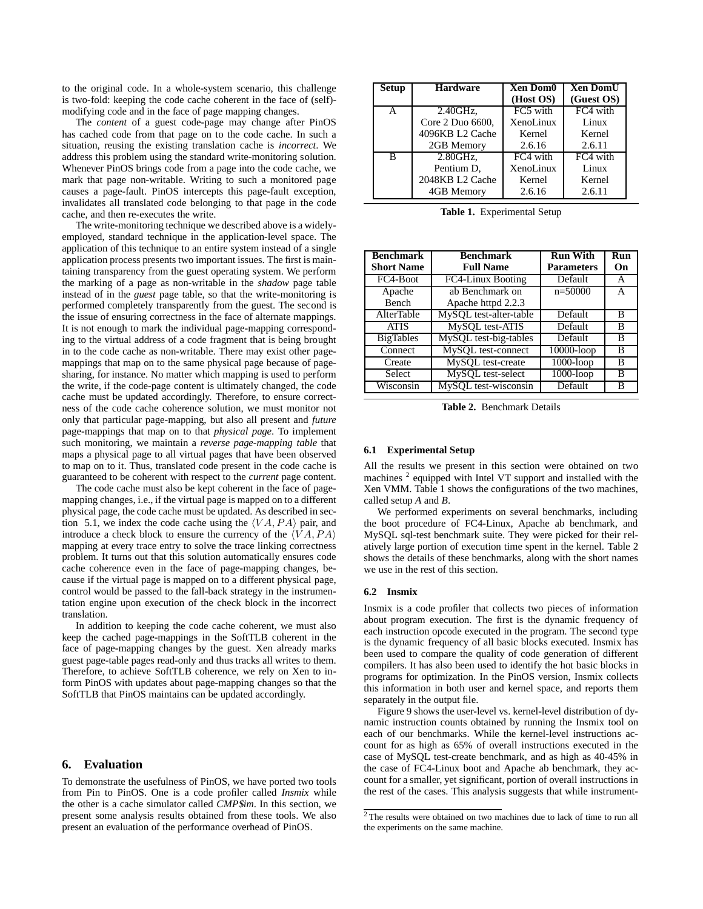to the original code. In a whole-system scenario, this challenge is two-fold: keeping the code cache coherent in the face of (self) modifying code and in the face of page mapping changes.

The *content* of a guest code-page may change after PinOS has cached code from that page on to the code cache. In such a situation, reusing the existing translation cache is *incorrect*. We address this problem using the standard write-monitoring solution. Whenever PinOS brings code from a page into the code cache, we mark that page non-writable. Writing to such a monitored page causes a page-fault. PinOS intercepts this page-fault exception, invalidates all translated code belonging to that page in the code cache, and then re-executes the write.

The write-monitoring technique we described above is a widelyemployed, standard technique in the application-level space. The application of this technique to an entire system instead of a single application process presents two important issues. The first is maintaining transparency from the guest operating system. We perform the marking of a page as non-writable in the *shadow* page table instead of in the *guest* page table, so that the write-monitoring is performed completely transparently from the guest. The second is the issue of ensuring correctness in the face of alternate mappings. It is not enough to mark the individual page-mapping corresponding to the virtual address of a code fragment that is being brought in to the code cache as non-writable. There may exist other pagemappings that map on to the same physical page because of pagesharing, for instance. No matter which mapping is used to perform the write, if the code-page content is ultimately changed, the code cache must be updated accordingly. Therefore, to ensure correctness of the code cache coherence solution, we must monitor not only that particular page-mapping, but also all present and *future* page-mappings that map on to that *physical page*. To implement such monitoring, we maintain a *reverse page-mapping table* that maps a physical page to all virtual pages that have been observed to map on to it. Thus, translated code present in the code cache is guaranteed to be coherent with respect to the *current* page content.

The code cache must also be kept coherent in the face of pagemapping changes, i.e., if the virtual page is mapped on to a different physical page, the code cache must be updated. As described in section 5.1, we index the code cache using the  $\langle VA, PA \rangle$  pair, and introduce a check block to ensure the currency of the  $\langle VA, PA \rangle$ mapping at every trace entry to solve the trace linking correctness problem. It turns out that this solution automatically ensures code cache coherence even in the face of page-mapping changes, because if the virtual page is mapped on to a different physical page, control would be passed to the fall-back strategy in the instrumentation engine upon execution of the check block in the incorrect translation.

In addition to keeping the code cache coherent, we must also keep the cached page-mappings in the SoftTLB coherent in the face of page-mapping changes by the guest. Xen already marks guest page-table pages read-only and thus tracks all writes to them. Therefore, to achieve SoftTLB coherence, we rely on Xen to inform PinOS with updates about page-mapping changes so that the SoftTLB that PinOS maintains can be updated accordingly.

## **6. Evaluation**

To demonstrate the usefulness of PinOS, we have ported two tools from Pin to PinOS. One is a code profiler called *Insmix* while the other is a cache simulator called *CMP*\$*im*. In this section, we present some analysis results obtained from these tools. We also present an evaluation of the performance overhead of PinOS.

| <b>Setup</b> | <b>Hardware</b>  | Xen Dom0  | <b>Xen DomU</b> |
|--------------|------------------|-----------|-----------------|
|              |                  | (Host OS) | (Guest OS)      |
| A            | 2.40GHz.         | FC5 with  | FC4 with        |
|              | Core 2 Duo 6600, | XenoLinux | Linux           |
|              | 4096KB L2 Cache  | Kernel    | Kernel          |
|              | 2GB Memory       | 2.6.16    | 2.6.11          |
| R            | 2.80GHz.         | FC4 with  | FC4 with        |
|              | Pentium D.       | XenoLinux | Linux           |
|              | 2048KB L2 Cache  | Kernel    | Kernel          |
|              | 4GB Memory       | 2.6.16    | 2.6.11          |

**Table 1.** Experimental Setup

| <b>Benchmark</b><br><b>Short Name</b> | <b>Benchmark</b><br><b>Full Name</b> | <b>Run With</b><br><b>Parameters</b> | Run<br>On |
|---------------------------------------|--------------------------------------|--------------------------------------|-----------|
| FC4-Boot                              | FC4-Linux Booting                    | Default                              | A         |
| Apache                                | ab Benchmark on                      | $n = 50000$                          | A         |
| Bench                                 | Apache httpd 2.2.3                   |                                      |           |
| <b>AlterTable</b>                     | MySQL test-alter-table               | Default                              | B         |
| <b>ATIS</b>                           | MySQL test-ATIS                      | Default                              | B         |
| <b>BigTables</b>                      | MySQL test-big-tables                | Default                              | B         |
| Connect                               | MySQL test-connect                   | $10000 - loop$                       | B         |
| Create                                | MySQL test-create                    | $1000 - loop$                        | B         |
| Select                                | MySQL test-select                    | $1000$ -loop                         | B         |
| Wisconsin                             | MySQL test-wisconsin                 | Default                              | B         |

**Table 2.** Benchmark Details

#### **6.1 Experimental Setup**

All the results we present in this section were obtained on two machines<sup>2</sup> equipped with Intel VT support and installed with the Xen VMM. Table 1 shows the configurations of the two machines, called setup *A* and *B*.

We performed experiments on several benchmarks, including the boot procedure of FC4-Linux, Apache ab benchmark, and MySQL sql-test benchmark suite. They were picked for their relatively large portion of execution time spent in the kernel. Table 2 shows the details of these benchmarks, along with the short names we use in the rest of this section.

## **6.2 Insmix**

Insmix is a code profiler that collects two pieces of information about program execution. The first is the dynamic frequency of each instruction opcode executed in the program. The second type is the dynamic frequency of all basic blocks executed. Insmix has been used to compare the quality of code generation of different compilers. It has also been used to identify the hot basic blocks in programs for optimization. In the PinOS version, Insmix collects this information in both user and kernel space, and reports them separately in the output file.

Figure 9 shows the user-level vs. kernel-level distribution of dynamic instruction counts obtained by running the Insmix tool on each of our benchmarks. While the kernel-level instructions account for as high as 65% of overall instructions executed in the case of MySQL test-create benchmark, and as high as 40-45% in the case of FC4-Linux boot and Apache ab benchmark, they account for a smaller, yet significant, portion of overall instructions in the rest of the cases. This analysis suggests that while instrument-

<sup>2</sup> The results were obtained on two machines due to lack of time to run all the experiments on the same machine.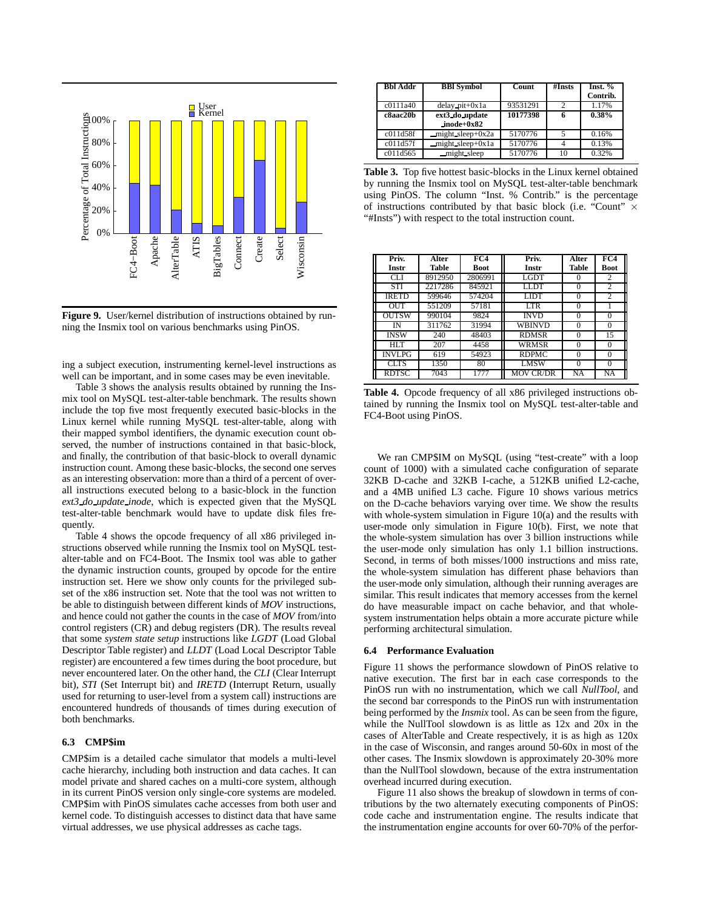

**Figure 9.** User/kernel distribution of instructions obtained by running the Insmix tool on various benchmarks using PinOS.

ing a subject execution, instrumenting kernel-level instructions as well can be important, and in some cases may be even inevitable.

Table 3 shows the analysis results obtained by running the Insmix tool on MySQL test-alter-table benchmark. The results shown include the top five most frequently executed basic-blocks in the Linux kernel while running MySQL test-alter-table, along with their mapped symbol identifiers, the dynamic execution count observed, the number of instructions contained in that basic-block, and finally, the contribution of that basic-block to overall dynamic instruction count. Among these basic-blocks, the second one serves as an interesting observation: more than a third of a percent of overall instructions executed belong to a basic-block in the function *ext3 do update inode*, which is expected given that the MySQL test-alter-table benchmark would have to update disk files frequently.

Table 4 shows the opcode frequency of all x86 privileged instructions observed while running the Insmix tool on MySQL testalter-table and on FC4-Boot. The Insmix tool was able to gather the dynamic instruction counts, grouped by opcode for the entire instruction set. Here we show only counts for the privileged subset of the x86 instruction set. Note that the tool was not written to be able to distinguish between different kinds of *MOV* instructions, and hence could not gather the counts in the case of *MOV* from/into control registers (CR) and debug registers (DR). The results reveal that some *system state setup* instructions like *LGDT* (Load Global Descriptor Table register) and *LLDT* (Load Local Descriptor Table register) are encountered a few times during the boot procedure, but never encountered later. On the other hand, the *CLI* (Clear Interrupt bit), *STI* (Set Interrupt bit) and *IRETD* (Interrupt Return, usually used for returning to user-level from a system call) instructions are encountered hundreds of thousands of times during execution of both benchmarks.

## **6.3 CMP\$im**

CMP\$im is a detailed cache simulator that models a multi-level cache hierarchy, including both instruction and data caches. It can model private and shared caches on a multi-core system, although in its current PinOS version only single-core systems are modeled. CMP\$im with PinOS simulates cache accesses from both user and kernel code. To distinguish accesses to distinct data that have same virtual addresses, we use physical addresses as cache tags.

| <b>Bbl Addr</b> | <b>BBI</b> Symbol    | Count    | #Insts                | Inst. $%$ |
|-----------------|----------------------|----------|-----------------------|-----------|
|                 |                      |          |                       | Contrib.  |
| c0111a40        | $delay$ - $pit+0x1a$ | 93531291 | 2                     | 1.17%     |
| c8aac20b        | ext3 do update       | 10177398 | 6                     | 0.38%     |
|                 | $inode+0x82$         |          |                       |           |
| c011d58f        | $might_s$ leep+0x2a  | 5170776  | $\tilde{\mathcal{L}}$ | 0.16%     |
| c011d57f        | $-might_sleep+0x1a$  | 5170776  |                       | 0.13%     |
| c011d565        | might sleep          | 5170776  | 10                    | 0.32%     |
|                 |                      |          |                       |           |

**Table 3.** Top five hottest basic-blocks in the Linux kernel obtained by running the Insmix tool on MySQL test-alter-table benchmark using PinOS. The column "Inst. % Contrib." is the percentage of instructions contributed by that basic block (i.e. "Count"  $\times$ "#Insts") with respect to the total instruction count.

| Priv.<br>Instr | Alter<br>Table | FC4<br><b>Boot</b> | Priv.<br>Instr   | <b>Alter</b><br>Table | FC4<br><b>Boot</b> |
|----------------|----------------|--------------------|------------------|-----------------------|--------------------|
| CLI.           | 8912950        | 2806991            | LGDT             |                       | 2                  |
| <b>STI</b>     | 2217286        | 845921             | LLDT             | 0                     | $\overline{c}$     |
| <b>IRETD</b>   | 599646         | 574204             | <b>LIDT</b>      | 0                     | $\overline{c}$     |
| <b>OUT</b>     | 551209         | 57181              | <b>LTR</b>       | 0                     |                    |
| OUTSW          | 990104         | 9824               | <b>INVD</b>      | 0                     | 0                  |
| IN             | 311762         | 31994              | WBINVD           | 0                     | $\Omega$           |
| <b>INSW</b>    | 240            | 48403              | <b>RDMSR</b>     | 0                     | 15                 |
| HI T           | 207            | 4458               | WRMSR            | $\Omega$              | 0                  |
| <b>INVLPG</b>  | 619            | 54923              | <b>RDPMC</b>     | 0                     | 0                  |
| <b>CLTS</b>    | 1350           | 80                 | LMSW             | 0                     | 0                  |
| <b>RDTSC</b>   | 7043           | 1777               | <b>MOV CR/DR</b> | NA                    | NA                 |

**Table 4.** Opcode frequency of all x86 privileged instructions obtained by running the Insmix tool on MySQL test-alter-table and FC4-Boot using PinOS.

We ran CMP\$IM on MySQL (using "test-create" with a loop count of 1000) with a simulated cache configuration of separate 32KB D-cache and 32KB I-cache, a 512KB unified L2-cache, and a 4MB unified L3 cache. Figure 10 shows various metrics on the D-cache behaviors varying over time. We show the results with whole-system simulation in Figure 10(a) and the results with user-mode only simulation in Figure 10(b). First, we note that the whole-system simulation has over 3 billion instructions while the user-mode only simulation has only 1.1 billion instructions. Second, in terms of both misses/1000 instructions and miss rate, the whole-system simulation has different phase behaviors than the user-mode only simulation, although their running averages are similar. This result indicates that memory accesses from the kernel do have measurable impact on cache behavior, and that wholesystem instrumentation helps obtain a more accurate picture while performing architectural simulation.

#### **6.4 Performance Evaluation**

Figure 11 shows the performance slowdown of PinOS relative to native execution. The first bar in each case corresponds to the PinOS run with no instrumentation, which we call *NullTool*, and the second bar corresponds to the PinOS run with instrumentation being performed by the *Insmix* tool. As can be seen from the figure, while the NullTool slowdown is as little as 12x and 20x in the cases of AlterTable and Create respectively, it is as high as 120x in the case of Wisconsin, and ranges around 50-60x in most of the other cases. The Insmix slowdown is approximately 20-30% more than the NullTool slowdown, because of the extra instrumentation overhead incurred during execution.

Figure 11 also shows the breakup of slowdown in terms of contributions by the two alternately executing components of PinOS: code cache and instrumentation engine. The results indicate that the instrumentation engine accounts for over 60-70% of the perfor-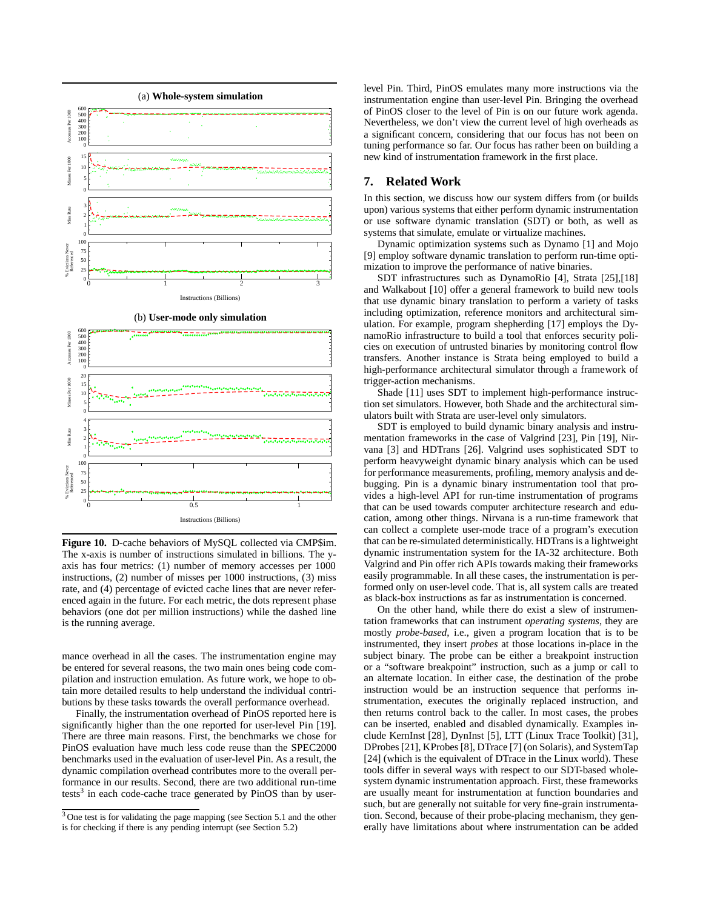

**Figure 10.** D-cache behaviors of MySQL collected via CMP\$im. The x-axis is number of instructions simulated in billions. The yaxis has four metrics: (1) number of memory accesses per 1000 instructions, (2) number of misses per 1000 instructions, (3) miss rate, and (4) percentage of evicted cache lines that are never referenced again in the future. For each metric, the dots represent phase behaviors (one dot per million instructions) while the dashed line is the running average.

mance overhead in all the cases. The instrumentation engine may be entered for several reasons, the two main ones being code compilation and instruction emulation. As future work, we hope to obtain more detailed results to help understand the individual contributions by these tasks towards the overall performance overhead.

Finally, the instrumentation overhead of PinOS reported here is significantly higher than the one reported for user-level Pin [19]. There are three main reasons. First, the benchmarks we chose for PinOS evaluation have much less code reuse than the SPEC2000 benchmarks used in the evaluation of user-level Pin. As a result, the dynamic compilation overhead contributes more to the overall performance in our results. Second, there are two additional run-time tests<sup>3</sup> in each code-cache trace generated by PinOS than by userlevel Pin. Third, PinOS emulates many more instructions via the instrumentation engine than user-level Pin. Bringing the overhead of PinOS closer to the level of Pin is on our future work agenda. Nevertheless, we don't view the current level of high overheads as a significant concern, considering that our focus has not been on tuning performance so far. Our focus has rather been on building a new kind of instrumentation framework in the first place.

## **7. Related Work**

In this section, we discuss how our system differs from (or builds upon) various systems that either perform dynamic instrumentation or use software dynamic translation (SDT) or both, as well as systems that simulate, emulate or virtualize machines.

Dynamic optimization systems such as Dynamo [1] and Mojo [9] employ software dynamic translation to perform run-time optimization to improve the performance of native binaries.

SDT infrastructures such as DynamoRio [4], Strata [25],[18] and Walkabout [10] offer a general framework to build new tools that use dynamic binary translation to perform a variety of tasks including optimization, reference monitors and architectural simulation. For example, program shepherding [17] employs the DynamoRio infrastructure to build a tool that enforces security policies on execution of untrusted binaries by monitoring control flow transfers. Another instance is Strata being employed to build a high-performance architectural simulator through a framework of trigger-action mechanisms.

Shade [11] uses SDT to implement high-performance instruction set simulators. However, both Shade and the architectural simulators built with Strata are user-level only simulators.

SDT is employed to build dynamic binary analysis and instrumentation frameworks in the case of Valgrind [23], Pin [19], Nirvana [3] and HDTrans [26]. Valgrind uses sophisticated SDT to perform heavyweight dynamic binary analysis which can be used for performance measurements, profiling, memory analysis and debugging. Pin is a dynamic binary instrumentation tool that provides a high-level API for run-time instrumentation of programs that can be used towards computer architecture research and education, among other things. Nirvana is a run-time framework that can collect a complete user-mode trace of a program's execution that can be re-simulated deterministically. HDTrans is a lightweight dynamic instrumentation system for the IA-32 architecture. Both Valgrind and Pin offer rich APIs towards making their frameworks easily programmable. In all these cases, the instrumentation is performed only on user-level code. That is, all system calls are treated as black-box instructions as far as instrumentation is concerned.

On the other hand, while there do exist a slew of instrumentation frameworks that can instrument *operating systems*, they are mostly *probe-based*, i.e., given a program location that is to be instrumented, they insert *probes* at those locations in-place in the subject binary. The probe can be either a breakpoint instruction or a "software breakpoint" instruction, such as a jump or call to an alternate location. In either case, the destination of the probe instruction would be an instruction sequence that performs instrumentation, executes the originally replaced instruction, and then returns control back to the caller. In most cases, the probes can be inserted, enabled and disabled dynamically. Examples include KernInst [28], DynInst [5], LTT (Linux Trace Toolkit) [31], DProbes [21], KProbes [8], DTrace [7] (on Solaris), and SystemTap [24] (which is the equivalent of DTrace in the Linux world). These tools differ in several ways with respect to our SDT-based wholesystem dynamic instrumentation approach. First, these frameworks are usually meant for instrumentation at function boundaries and such, but are generally not suitable for very fine-grain instrumentation. Second, because of their probe-placing mechanism, they generally have limitations about where instrumentation can be added

<sup>3</sup> One test is for validating the page mapping (see Section 5.1 and the other is for checking if there is any pending interrupt (see Section 5.2)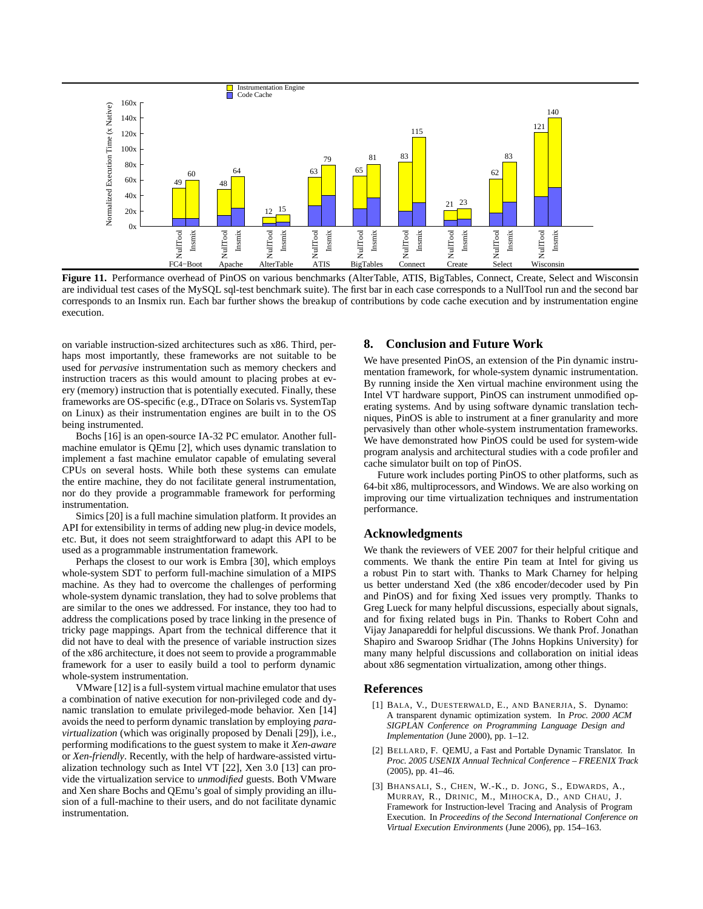

**Figure 11.** Performance overhead of PinOS on various benchmarks (AlterTable, ATIS, BigTables, Connect, Create, Select and Wisconsin are individual test cases of the MySQL sql-test benchmark suite). The first bar in each case corresponds to a NullTool run and the second bar corresponds to an Insmix run. Each bar further shows the breakup of contributions by code cache execution and by instrumentation engine execution.

on variable instruction-sized architectures such as x86. Third, perhaps most importantly, these frameworks are not suitable to be used for *pervasive* instrumentation such as memory checkers and instruction tracers as this would amount to placing probes at every (memory) instruction that is potentially executed. Finally, these frameworks are OS-specific (e.g., DTrace on Solaris vs. SystemTap on Linux) as their instrumentation engines are built in to the OS being instrumented.

Bochs [16] is an open-source IA-32 PC emulator. Another fullmachine emulator is QEmu [2], which uses dynamic translation to implement a fast machine emulator capable of emulating several CPUs on several hosts. While both these systems can emulate the entire machine, they do not facilitate general instrumentation, nor do they provide a programmable framework for performing instrumentation.

Simics [20] is a full machine simulation platform. It provides an API for extensibility in terms of adding new plug-in device models, etc. But, it does not seem straightforward to adapt this API to be used as a programmable instrumentation framework.

Perhaps the closest to our work is Embra [30], which employs whole-system SDT to perform full-machine simulation of a MIPS machine. As they had to overcome the challenges of performing whole-system dynamic translation, they had to solve problems that are similar to the ones we addressed. For instance, they too had to address the complications posed by trace linking in the presence of tricky page mappings. Apart from the technical difference that it did not have to deal with the presence of variable instruction sizes of the x86 architecture, it does not seem to provide a programmable framework for a user to easily build a tool to perform dynamic whole-system instrumentation.

VMware [12] is a full-system virtual machine emulator that uses a combination of native execution for non-privileged code and dynamic translation to emulate privileged-mode behavior. Xen [14] avoids the need to perform dynamic translation by employing *paravirtualization* (which was originally proposed by Denali [29]), i.e., performing modifications to the guest system to make it *Xen-aware* or *Xen-friendly*. Recently, with the help of hardware-assisted virtualization technology such as Intel VT [22], Xen 3.0 [13] can provide the virtualization service to *unmodified* guests. Both VMware and Xen share Bochs and QEmu's goal of simply providing an illusion of a full-machine to their users, and do not facilitate dynamic instrumentation.

## **8. Conclusion and Future Work**

We have presented PinOS, an extension of the Pin dynamic instrumentation framework, for whole-system dynamic instrumentation. By running inside the Xen virtual machine environment using the Intel VT hardware support, PinOS can instrument unmodified operating systems. And by using software dynamic translation techniques, PinOS is able to instrument at a finer granularity and more pervasively than other whole-system instrumentation frameworks. We have demonstrated how PinOS could be used for system-wide program analysis and architectural studies with a code profiler and cache simulator built on top of PinOS.

Future work includes porting PinOS to other platforms, such as 64-bit x86, multiprocessors, and Windows. We are also working on improving our time virtualization techniques and instrumentation performance.

# **Acknowledgments**

We thank the reviewers of VEE 2007 for their helpful critique and comments. We thank the entire Pin team at Intel for giving us a robust Pin to start with. Thanks to Mark Charney for helping us better understand Xed (the x86 encoder/decoder used by Pin and PinOS) and for fixing Xed issues very promptly. Thanks to Greg Lueck for many helpful discussions, especially about signals, and for fixing related bugs in Pin. Thanks to Robert Cohn and Vijay Janapareddi for helpful discussions. We thank Prof. Jonathan Shapiro and Swaroop Sridhar (The Johns Hopkins University) for many many helpful discussions and collaboration on initial ideas about x86 segmentation virtualization, among other things.

## **References**

- [1] BALA, V., DUESTERWALD, E., AND BANERJIA, S. Dynamo: A transparent dynamic optimization system. In *Proc. 2000 ACM SIGPLAN Conference on Programming Language Design and Implementation* (June 2000), pp. 1–12.
- [2] BELLARD, F. QEMU, a Fast and Portable Dynamic Translator. In *Proc. 2005 USENIX Annual Technical Conference – FREENIX Track* (2005), pp. 41–46.
- [3] BHANSALI, S., CHEN, W.-K., D. JONG, S., EDWARDS, A., MURRAY, R., DRINIC, M., MIHOCKA, D., AND CHAU, J. Framework for Instruction-level Tracing and Analysis of Program Execution. In *Proceedins of the Second International Conference on Virtual Execution Environments* (June 2006), pp. 154–163.